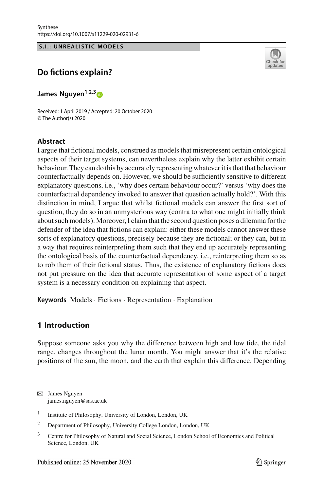**S.I.: UNREALISTIC MODELS S.I.: UNREALISTIC MODELS**



# **Do fictions explain?**

James Nguyen<sup>1,2,[3](http://orcid.org/0000-0002-6919-1365)</sup><sup>b</sup>

Received: 1 April 2019 / Accepted: 20 October 2020 © The Author(s) 2020

### **Abstract**

I argue that fictional models, construed as models that misrepresent certain ontological aspects of their target systems, can nevertheless explain why the latter exhibit certain behaviour. They can do this by accurately representing whatever it is that that behaviour counterfactually depends on. However, we should be sufficiently sensitive to different explanatory questions, i.e., 'why does certain behaviour occur?' versus 'why does the counterfactual dependency invoked to answer that question actually hold?'. With this distinction in mind, I argue that whilst fictional models can answer the first sort of question, they do so in an unmysterious way (contra to what one might initially think about such models). Moreover, I claim that the second question poses a dilemma for the defender of the idea that fictions can explain: either these models cannot answer these sorts of explanatory questions, precisely because they are fictional; or they can, but in a way that requires reinterpreting them such that they end up accurately representing the ontological basis of the counterfactual dependency, i.e., reinterpreting them so as to rob them of their fictional status. Thus, the existence of explanatory fictions does not put pressure on the idea that accurate representation of some aspect of a target system is a necessary condition on explaining that aspect.

**Keywords** Models · Fictions · Representation · Explanation

## **1 Introduction**

Suppose someone asks you why the difference between high and low tide, the tidal range, changes throughout the lunar month. You might answer that it's the relative positions of the sun, the moon, and the earth that explain this difference. Depending

 $\boxtimes$  James Nguyen james.nguyen@sas.ac.uk

<sup>&</sup>lt;sup>1</sup> Institute of Philosophy, University of London, London, UK

<sup>2</sup> Department of Philosophy, University College London, London, UK

<sup>&</sup>lt;sup>3</sup> Centre for Philosophy of Natural and Social Science, London School of Economics and Political Science, London, UK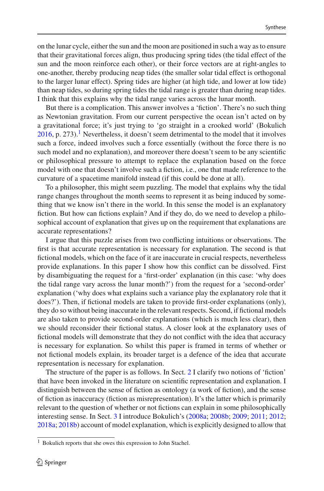on the lunar cycle, either the sun and the moon are positioned in such a way as to ensure that their gravitational forces align, thus producing spring tides (the tidal effect of the sun and the moon reinforce each other), or their force vectors are at right-angles to one-another, thereby producing neap tides (the smaller solar tidal effect is orthogonal to the larger lunar effect). Spring tides are higher (at high tide, and lower at low tide) than neap tides, so during spring tides the tidal range is greater than during neap tides. I think that this explains why the tidal range varies across the lunar month.

But there is a complication. This answer involves a 'fiction'. There's no such thing as Newtonian gravitation. From our current perspective the ocean isn't acted on by a gravitational force; it's just trying to 'go straight in a crooked world' (Bokulic[h](#page-24-0)  $2016$  $2016$  $2016$ , p. 273).<sup>1</sup> Nevertheless, it doesn't seem detrimental to the model that it involves such a force, indeed involves such a force essentially (without the force there is no such model and no explanation), and moreover there doesn't seem to be any scientific or philosophical pressure to attempt to replace the explanation based on the force model with one that doesn't involve such a fiction, i.e., one that made reference to the curvature of a spacetime manifold instead (if this could be done at all).

To a philosopher, this might seem puzzling. The model that explains why the tidal range changes throughout the month seems to represent it as being induced by something that we know isn't there in the world. In this sense the model is an explanatory fiction. But how can fictions explain? And if they do, do we need to develop a philosophical account of explanation that gives up on the requirement that explanations are accurate representations?

I argue that this puzzle arises from two conflicting intuitions or observations. The first is that accurate representation is necessary for explanation. The second is that fictional models, which on the face of it are inaccurate in crucial respects, nevertheless provide explanations. In this paper I show how this conflict can be dissolved. First by disambiguating the request for a 'first-order' explanation (in this case: 'why does the tidal range vary across the lunar month?') from the request for a 'second-order' explanation ('why does what explains such a variance play the explanatory role that it does?'). Then, if fictional models are taken to provide first-order explanations (only), they do so without being inaccurate in the relevant respects. Second, if fictional models are also taken to provide second-order explanations (which is much less clear), then we should reconsider their fictional status. A closer look at the explanatory uses of fictional models will demonstrate that they do not conflict with the idea that accuracy is necessary for explanation. So whilst this paper is framed in terms of whether or not fictional models explain, its broader target is a defence of the idea that accurate representation is necessary for explanation.

The structure of the paper is as follows. In Sect. [2](#page-2-0) I clarify two notions of 'fiction' that have been invoked in the literature on scientific representation and explanation. I distinguish between the sense of fiction as ontology (a work of fiction), and the sense of fiction as inaccuracy (fiction as misrepresentation). It's the latter which is primarily relevant to the question of whether or not fictions can explain in some philosophically interesting sense. In Sect. [3](#page-7-0) I introduce Bokulich's [\(2008a](#page-24-1); [2008b](#page-24-2); [2009](#page-24-3); [2011](#page-24-4); [2012](#page-24-5); [2018a](#page-24-6); [2018b](#page-24-7)) account of model explanation, which is explicitly designed to allow that

<span id="page-1-0"></span><sup>1</sup> Bokulich reports that she owes this expression to John Stachel.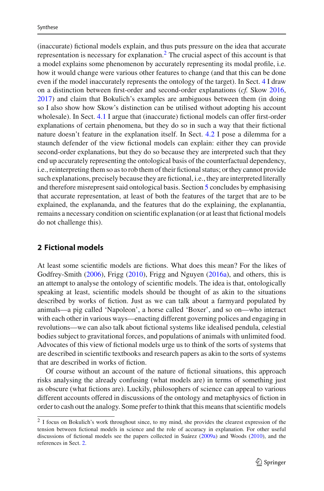(inaccurate) fictional models explain, and thus puts pressure on the idea that accurate representation is necessary for explanation.<sup>2</sup> The crucial aspect of this account is that a model explains some phenomenon by accurately representing its modal profile, i.e. how it would change were various other features to change (and that this can be done even if the model inaccurately represents the ontology of the target). In Sect. [4](#page-12-0) I draw on a distinction between first-order and second-order explanations (*cf.* Sko[w](#page-25-0) [2016,](#page-25-0) [2017\)](#page-25-1) and claim that Bokulich's examples are ambiguous between them (in doing so I also show how Skow's distinction can be utilised without adopting his account wholesale). In Sect. [4.1](#page-12-1) I argue that (inaccurate) fictional models can offer first-order explanations of certain phenomena, but they do so in such a way that their fictional nature doesn't feature in the explanation itself. In Sect. [4.2](#page-15-0) I pose a dilemma for a staunch defender of the view fictional models can explain: either they can provide second-order explanations, but they do so because they are interpreted such that they end up accurately representing the ontological basis of the counterfactual dependency, i.e., reinterpreting them so as to rob them of their fictional status; or they cannot provide such explanations, precisely because they are fictional, i.e., they are interpreted literally and therefore misrepresent said ontological basis. Section [5](#page-21-0) concludes by emphasising that accurate representation, at least of both the features of the target that are to be explained, the explananda, and the features that do the explaining, the explanantia, remains a necessary condition on scientific explanation (or at least that fictional models do not challenge this).

## <span id="page-2-0"></span>**2 Fictional models**

At least some scientific models are fictions. What does this mean? For the likes of Godfrey-Smit[h](#page-24-8) [\(2006](#page-24-8)), Fri[g](#page-24-9)g [\(2010](#page-24-9)), Frigg a[n](#page-24-10)d Nguyen [\(2016a\)](#page-24-10), and others, this is an attempt to analyse the ontology of scientific models. The idea is that, ontologically speaking at least, scientific models should be thought of as akin to the situations described by works of fiction. Just as we can talk about a farmyard populated by animals—a pig called 'Napoleon', a horse called 'Boxer', and so on—who interact with each other in various ways—enacting different governing polices and engaging in revolutions—we can also talk about fictional systems like idealised pendula, celestial bodies subject to gravitational forces, and populations of animals with unlimited food. Advocates of this view of fictional models urge us to think of the sorts of systems that are described in scientific textbooks and research papers as akin to the sorts of systems that are described in works of fiction.

Of course without an account of the nature of fictional situations, this approach risks analysing the already confusing (what models are) in terms of something just as obscure (what fictions are). Luckily, philosophers of science can appeal to various different accounts offered in discussions of the ontology and metaphysics of fiction in order to cash out the analogy. Some prefer to think that this means that scientific models

<span id="page-2-1"></span><sup>2</sup> I focus on Bokulich's work throughout since, to my mind, she provides the clearest expression of the tension between fictional models in science and the role of accuracy in explanation. For other useful discussions of fictional models see the papers collected in Suáre[z](#page-25-2) [\(2009a](#page-25-2)) and Wood[s](#page-25-3) [\(2010](#page-25-3)), and the references in Sect. [2.](#page-2-0)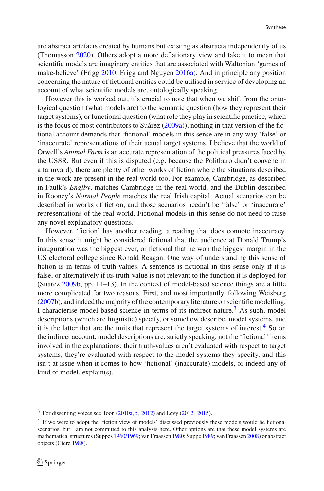are abstract artefacts created by humans but existing as abstracta independently of us (Thomasso[n](#page-25-4) [2020](#page-25-4)). Others adopt a more deflationary view and take it to mean that scientific models are imaginary entities that are associated with Waltonian 'games of make-believe' (Frig[g](#page-24-9) [2010](#page-24-9); Frigg and Nguye[n](#page-24-10) [2016a](#page-24-10)). And in principle any position concerning the nature of fictional entities could be utilised in service of developing an account of what scientific models are, ontologically speaking.

However this is worked out, it's crucial to note that when we shift from the ontological question (what models are) to the semantic question (how they represent their target systems), or functional question (what role they play in scientific practice, which is the focus of most contributors to Suáre[z](#page-25-2)  $(2009a)$  $(2009a)$ ), nothing in that version of the fictional account demands that 'fictional' models in this sense are in any way 'false' or 'inaccurate' representations of their actual target systems. I believe that the world of Orwell's *Animal Farm* is an accurate representation of the political pressures faced by the USSR. But even if this is disputed (e.g. because the Politburo didn't convene in a farmyard), there are plenty of other works of fiction where the situations described in the work are present in the real world too. For example, Cambridge, as described in Faulk's *Englby*, matches Cambridge in the real world, and the Dublin described in Rooney's *Normal People* matches the real Irish capital. Actual scenarios can be described in works of fiction, and those scenarios needn't be 'false' or 'inaccurate' representations of the real world. Fictional models in this sense do not need to raise any novel explanatory questions.

However, 'fiction' has another reading, a reading that does connote inaccuracy. In this sense it might be considered fictional that the audience at Donald Trump's inauguration was the biggest ever, or fictional that he won the biggest margin in the US electoral college since Ronald Reagan. One way of understanding this sense of fiction is in terms of truth-values. A sentence is fictional in this sense only if it is false, or alternatively if its truth-value is not relevant to the function it is deployed for (Suáre[z](#page-25-5) [2009b](#page-25-5), pp. 11–13). In the context of model-based science things are a little more complicated for two reasons. First, and most importantly, following Weisber[g](#page-25-6) [\(2007b\)](#page-25-6), and indeed the majority of the contemporary literature on scientific modelling, I characterise model-based science in terms of its indirect nature.<sup>3</sup> As such, model descriptions (which are linguistic) specify, or somehow describe, model systems, and it is the latter that are the units that represent the target systems of interest.<sup>4</sup> So on the indirect account, model descriptions are, strictly speaking, not the 'fictional' items involved in the explanations: their truth-values aren't evaluated with respect to target systems; they're evaluated with respect to the model systems they specify, and this isn't at issue when it comes to how 'fictional' (inaccurate) models, or indeed any of kind of model, explain(s).

<span id="page-3-0"></span><sup>3</sup> For dissenting voices see Too[n](#page-25-7) [\(2010a,](#page-25-7) [b,](#page-25-8) [2012\)](#page-25-9) and Lev[y](#page-24-11) [\(2012,](#page-24-11) [2015\)](#page-24-12).

<span id="page-3-1"></span><sup>&</sup>lt;sup>4</sup> If we were to adopt the 'fiction view of models' discussed previously these models would be fictional scenarios, but I am not committed to this analysis here. Other options are that these model systems are mathematical structures (Suppe[s](#page-25-10) [1960/1969](#page-25-10); van Fraasse[n](#page-25-11) [1980;](#page-25-11) Supp[e](#page-25-12) [1989](#page-25-12); van Fraasse[n](#page-25-13) [2008](#page-25-13)) or abstract objects (Gier[e](#page-24-13) [1988\)](#page-24-13).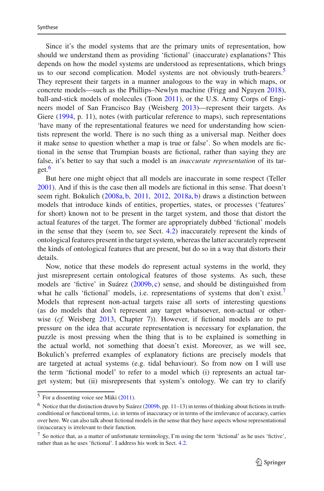Since it's the model systems that are the primary units of representation, how should we understand them as providing 'fictional' (inaccurate) explanations? This depends on how the model systems are understood as representations, which brings us to our second complication. Model systems are not obviously truth-bearers.<sup>5</sup> They represent their targets in a manner analogous to the way in which maps, or concrete models—such as the Phillips–Newlyn machine (Frigg and Nguye[n](#page-24-14) [2018](#page-24-14)), ball-and-stick models of molecules (Too[n](#page-25-14) [2011](#page-25-14)), or the U.S. Army Corps of Engineers model of San Francisco Bay (Weisber[g](#page-25-15) [2013\)](#page-25-15)—represent their targets. As Giere [\(1994](#page-24-15), p. 11), notes (with particular reference to maps), such representations 'have many of the representational features we need for understanding how scientists represent the world. There is no such thing as a universal map. Neither does it make sense to question whether a map is true or false'. So when models are fictional in the sense that Trumpian boasts are fictional, rather than saying they are false, it's better to say that such a model is an *inaccurate representation* of its target[.6](#page-4-1)

But here one might object that all models are inaccurate in some respect (Telle[r](#page-25-16) [2001\)](#page-25-16). And if this is the case then all models are fictional in this sense. That doesn't seem right. Bokulic[h](#page-24-1) [\(2008a](#page-24-1), [b,](#page-24-2) [2011,](#page-24-4) [2012,](#page-24-5) [2018a,](#page-24-6) [b\)](#page-24-7) draws a distinction between models that introduce kinds of entities, properties, states, or processes ('features' for short) known not to be present in the target system, and those that distort the actual features of the target. The former are appropriately dubbed 'fictional' models in the sense that they (seem to, see Sect. [4.2\)](#page-15-0) inaccurately represent the kinds of ontological features present in the target system, whereas the latter accurately represent the kinds of ontological features that are present, but do so in a way that distorts their details.

Now, notice that these models do represent actual systems in the world, they just misrepresent certain ontological features of those systems. As such, these models are 'fictive' in Suáre[z](#page-25-5)  $(2009b, c)$  $(2009b, c)$  $(2009b, c)$  sense, and should be distinguished from what he calls 'fictional' models, i.e. representations of systems that don't exist.<sup>7</sup> Models that represent non-actual targets raise all sorts of interesting questions (as do models that don't represent any target whatsoever, non-actual or otherwise (*cf.* Weisber[g](#page-25-15) [2013,](#page-25-15) Chapter 7)). However, if fictional models are to put pressure on the idea that accurate representation is necessary for explanation, the puzzle is most pressing when the thing that is to be explained is something in the actual world, not something that doesn't exist. Moreover, as we will see, Bokulich's preferred examples of explanatory fictions are precisely models that are targeted at actual systems (e.g. tidal behaviour). So from now on I will use the term 'fictional model' to refer to a model which (i) represents an actual target system; but (ii) misrepresents that system's ontology. We can try to clarify

<span id="page-4-0"></span> $5$  For a d[i](#page-24-16)ssenting voice see Mäki [\(2011](#page-24-16)).

<span id="page-4-1"></span> $6$  Notice that the distinction drawn by Suárez [\(2009b,](#page-25-5) pp. 11–13) in terms of thinking about fictions in truthconditional or functional terms, i.e. in terms of inaccuracy or in terms of the irrelevance of accuracy, carries over here. We can also talk about fictional models in the sense that they have aspects whose representational (in)accuracy is irrelevant to their function.

<span id="page-4-2"></span><sup>7</sup> So notice that, as a matter of unfortunate terminology, I'm using the term 'fictional' as he uses 'fictive', rather than as he uses 'fictional'. I address his work in Sect. [4.2.](#page-15-0)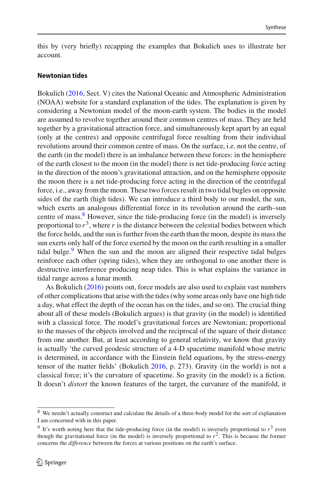this by (very briefly) recapping the examples that Bokulich uses to illustrate her account.

#### **Newtonian tides**

Bokulich [\(2016,](#page-24-0) Sect. V) cites the National Oceanic and Atmospheric Administration (NOAA) website for a standard explanation of the tides. The explanation is given by considering a Newtonian model of the moon-earth system. The bodies in the model are assumed to revolve together around their common centres of mass. They are held together by a gravitational attraction force, and simultaneously kept apart by an equal (only at the centres) and opposite centrifugal force resulting from their individual revolutions around their common centre of mass. On the surface, i.e. not the centre, of the earth (in the model) there is an imbalance between these forces: in the hemisphere of the earth closest to the moon (in the model) there is net tide-producing force acting in the direction of the moon's gravitational attraction, and on the hemisphere opposite the moon there is a net tide-producing force acting in the direction of the centrifugal force, i.e., away from the moon. These two forces result in two tidal bugles on opposite sides of the earth (high tides). We can introduce a third body to our model, the sun, which exerts an analogous differential force in its revolution around the earth–sun centre of mass. $8$  However, since the tide-producing force (in the model) is inversely proportional to  $r^3$ , where r is the distance between the celestial bodies between which the force holds, and the sun is further from the earth than the moon, despite its mass the sun exerts only half of the force exerted by the moon on the earth resulting in a smaller tidal bulge.<sup>[9](#page-5-1)</sup> When the sun and the moon are aligned their respective tidal bulges reinforce each other (spring tides), when they are orthogonal to one another there is destructive interference producing neap tides. This is what explains the variance in tidal range across a lunar month.

As Bokulic[h](#page-24-0) [\(2016](#page-24-0)) points out, force models are also used to explain vast numbers of other complications that arise with the tides (why some areas only have one high tide a day, what effect the depth of the ocean has on the tides, and so on). The crucial thing about all of these models (Bokulich argues) is that gravity (in the model) is identified with a classical force. The model's gravitational forces are Newtonian; proportional to the masses of the objects involved and the reciprocal of the square of their distance from one another. But, at least according to general relativity, we know that gravity is actually 'the curved geodesic structure of a 4-D spacetime manifold whose metric is determined, in accordance with the Einstein field equations, by the stress-energy tensor of the matter fields' (Bokulic[h](#page-24-0) [2016,](#page-24-0) p. 273). Gravity (in the world) is not a classical force; it's the curvature of spacetime. So gravity (in the model) is a fiction. It doesn't *distort* the known features of the target, the curvature of the manifold, it

<span id="page-5-0"></span><sup>&</sup>lt;sup>8</sup> We needn't actually construct and calculate the details of a three-body model for the sort of explanation I am concerned with in this paper.

<span id="page-5-1"></span><sup>&</sup>lt;sup>9</sup> It's worth noting here that the tide-producing force (in the model) is inversely proportional to  $r<sup>3</sup>$  even though the gravitational force (in the model) is inversely proportional to  $r^2$ . This is because the former concerns the *difference* between the forces at various positions on the earth's surface.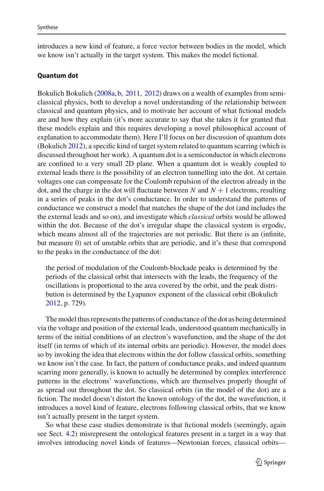introduces a new kind of feature, a force vector between bodies in the model, which we know isn't actually in the target system. This makes the model fictional.

### **Quantum dot**

Bokulich Bokulic[h](#page-24-1) [\(2008a,](#page-24-1) [b](#page-24-2), [2011](#page-24-4), [2012](#page-24-5)) draws on a wealth of examples from semiclassical physics, both to develop a novel understanding of the relationship between classical and quantum physics, and to motivate her account of what fictional models are and how they explain (it's more accurate to say that she takes it for granted that these models explain and this requires developing a novel philosophical account of explanation to accommodate them). Here I'll focus on her discussion of quantum dots (Bokulic[h](#page-24-5) [2012](#page-24-5)), a specific kind of target system related to quantum scarring (which is discussed throughout her work). A quantum dot is a semiconductor in which electrons are confined to a very small 2D plane. When a quantum dot is weakly coupled to external leads there is the possibility of an electron tunnelling into the dot. At certain voltages one can compensate for the Coulomb repulsion of the electron already in the dot, and the charge in the dot will fluctuate between  $N$  and  $N + 1$  electrons, resulting in a series of peaks in the dot's conductance. In order to understand the patterns of conductance we construct a model that matches the shape of the dot (and includes the the external leads and so on), and investigate which *classical* orbits would be allowed within the dot. Because of the dot's irregular shape the classical system is ergodic, which means almost all of the trajectories are not periodic. But there is an (infinite, but measure 0) set of unstable orbits that are periodic, and it's these that correspond to the peaks in the conductance of the dot:

the period of modulation of the Coulomb-blockade peaks is determined by the periods of the classical orbit that intersects with the leads, the frequency of the oscillations is proportional to the area covered by the orbit, and the peak distribution is determined by the Lyapunov exponent of the classical orbit (Bokulic[h](#page-24-5) [2012,](#page-24-5) p. 729).

The model thus represents the patterns of conductance of the dot as being determined via the voltage and position of the external leads, understood quantum mechanically in terms of the initial conditions of an electron's wavefunction, and the shape of the dot itself (in terms of which of its internal orbits are periodic). However, the model does so by invoking the idea that electrons within the dot follow classical orbits, something we know isn't the case. In fact, the pattern of conductance peaks, and indeed quantum scarring more generally, is known to actually be determined by complex interference patterns in the electrons' wavefunctions, which are themselves properly thought of as spread out throughout the dot. So classical orbits (in the model of the dot) are a fiction. The model doesn't distort the known ontology of the dot, the wavefunction, it introduces a novel kind of feature, electrons following classical orbits, that we know isn't actually present in the target system.

So what these case studies demonstrate is that fictional models (seemingly, again see Sect. [4.2\)](#page-15-0) misrepresent the ontological features present in a target in a way that involves introducing novel kinds of features—Newtonian forces, classical orbits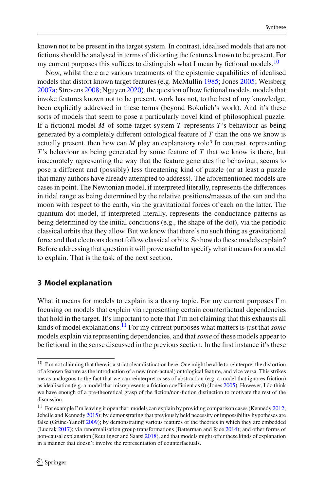known not to be present in the target system. In contrast, idealised models that are not fictions should be analysed in terms of distorting the features known to be present. For my current purposes this suffices to distinguish what I mean by fictional models.<sup>[10](#page-7-1)</sup>

Now, whilst there are various treatments of the epistemic capabilities of idealised models that distort known target features (e.g. McMulli[n](#page-24-17) [1985;](#page-24-17) Jone[s](#page-24-18) [2005;](#page-24-18) Weisber[g](#page-25-18) [2007a](#page-25-18); Streven[s](#page-25-19) [2008;](#page-25-19) Nguye[n](#page-25-20) [2020\)](#page-25-20), the question of how fictional models, models that invoke features known not to be present, work has not, to the best of my knowledge, been explicitly addressed in these terms (beyond Bokulich's work). And it's these sorts of models that seem to pose a particularly novel kind of philosophical puzzle. If a fictional model *M* of some target system *T* represents *T*'s behaviour as being generated by a completely different ontological feature of *T* than the one we know is actually present, then how can *M* play an explanatory role? In contrast, representing *T*'s behaviour as being generated by some feature of *T* that we know is there, but inaccurately representing the way that the feature generates the behaviour, seems to pose a different and (possibly) less threatening kind of puzzle (or at least a puzzle that many authors have already attempted to address). The aforementioned models are cases in point. The Newtonian model, if interpreted literally, represents the differences in tidal range as being determined by the relative positions/masses of the sun and the moon with respect to the earth, via the gravitational forces of each on the latter. The quantum dot model, if interpreted literally, represents the conductance patterns as being determined by the initial conditions (e.g., the shape of the dot), via the periodic classical orbits that they allow. But we know that there's no such thing as gravitational force and that electrons do not follow classical orbits. So how do these models explain? Before addressing that question it will prove useful to specify what it means for a model to explain. That is the task of the next section.

## <span id="page-7-0"></span>**3 Model explanation**

What it means for models to explain is a thorny topic. For my current purposes I'm focusing on models that explain via representing certain counterfactual dependencies that hold in the target. It's important to note that I'm not claiming that this exhausts all kinds of model explanations.[11](#page-7-2) For my current purposes what matters is just that *some* models explain via representing dependencies, and that*some* of these models appear to be fictional in the sense discussed in the previous section. In the first instance it's these

<span id="page-7-1"></span><sup>&</sup>lt;sup>10</sup> I'm not claiming that there is a strict clear distinction here. One might be able to reinterpret the distortion of a known feature as the introduction of a new (non-actual) ontological feature, and vice versa. This strikes me as analogous to the fact that we can reinterpret cases of abstraction (e.g. a model that ignores friction) as idealisation (e.g. a model that misrepresents a friction coefficient as 0) (Jone[s](#page-24-18) [2005](#page-24-18)). However, I do think we have enough of a pre-theoretical grasp of the fiction/non-fiction distinction to motivate the rest of the discussion.

<span id="page-7-2"></span> $11$  For example I'm leaving it open that: models can explain b[y](#page-24-19) providing comparison cases (Kennedy [2012;](#page-24-19) Jebeile and Kenned[y](#page-24-20) [2015](#page-24-20)); by demonstrating that previously held necessity or impossibility hypotheses are false (Grüne-Yanof[f](#page-24-21) [2009\)](#page-24-21); by demonstrating various features of the theories in which they are embedded (Lucza[k](#page-24-22) [2017\)](#page-24-22); via renormalisation group transformations (Batterman and Ric[e](#page-23-0) [2014](#page-23-0)); and other forms of non-causal explanation (Reutlinger and Saats[i](#page-25-21) [2018](#page-25-21)), and that models might offer these kinds of explanation in a manner that doesn't involve the representation of counterfactuals.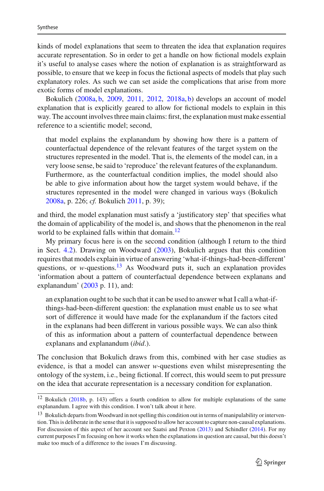kinds of model explanations that seem to threaten the idea that explanation requires accurate representation. So in order to get a handle on how fictional models explain it's useful to analyse cases where the notion of explanation is as straightforward as possible, to ensure that we keep in focus the fictional aspects of models that play such explanatory roles. As such we can set aside the complications that arise from more exotic forms of model explanations.

Bokulic[h](#page-24-1) [\(2008a,](#page-24-1) [b](#page-24-2), [2009](#page-24-3), [2011](#page-24-4), [2012](#page-24-5), [2018a,](#page-24-6) [b\)](#page-24-7) develops an account of model explanation that is explicitly geared to allow for fictional models to explain in this way. The account involves three main claims: first, the explanation must make essential reference to a scientific model; second,

that model explains the explanandum by showing how there is a pattern of counterfactual dependence of the relevant features of the target system on the structures represented in the model. That is, the elements of the model can, in a very loose sense, be said to 'reproduce' the relevant features of the explanandum. Furthermore, as the counterfactual condition implies, the model should also be able to give information about how the target system would behave, if the structures represented in the model were changed in various ways (Bokulic[h](#page-24-1) [2008a](#page-24-1), p. 226; *cf.* Bokulic[h](#page-24-4) [2011,](#page-24-4) p. 39);

and third, the model explanation must satisfy a 'justificatory step' that specifies what the domain of applicability of the model is, and shows that the phenomenon in the real world to be explained falls within that domain.<sup>12</sup>

My primary focus here is on the second condition (although I return to the third in Sect. [4.2\)](#page-15-0). Drawing on Woodwar[d](#page-25-22) [\(2003](#page-25-22)), Bokulich argues that this condition requires that models explain in virtue of answering 'what-if-things-had-been-different' questions, or  $w$ -questions.<sup>[13](#page-8-1)</sup> As Woodward puts it, such an explanation provides 'information about a pattern of counterfactual dependence between explanans and explanandum'  $(2003 \text{ p. } 11)$  $(2003 \text{ p. } 11)$ , and:

an explanation ought to be such that it can be used to answer what I call a what-ifthings-had-been-different question: the explanation must enable us to see what sort of difference it would have made for the explanandum if the factors cited in the explanans had been different in various possible ways. We can also think of this as information about a pattern of counterfactual dependence between explanans and explanandum (*ibid*.).

The conclusion that Bokulich draws from this, combined with her case studies as evidence, is that a model can answer *w*-questions even whilst misrepresenting the ontology of the system, i.e., being fictional. If correct, this would seem to put pressure on the idea that accurate representation is a necessary condition for explanation.

<span id="page-8-0"></span><sup>12</sup> Bokulich [\(2018b](#page-24-7), p. 143) offers a fourth condition to allow for multiple explanations of the same explanandum. I agree with this condition. I won't talk about it here.

<span id="page-8-1"></span><sup>&</sup>lt;sup>13</sup> Bokulich departs from Woodward in not spelling this condition out in terms of manipulability or intervention. This is deliberate in the sense that it is supposed to allow her account to capture non-causal explanations. For discussion of this aspect of her account see Saatsi and Pexto[n](#page-25-23) [\(2013](#page-25-23)) and Schindle[r](#page-25-24) [\(2014](#page-25-24)). For my current purposes I'm focusing on how it works when the explanations in question are causal, but this doesn't make too much of a difference to the issues I'm discussing.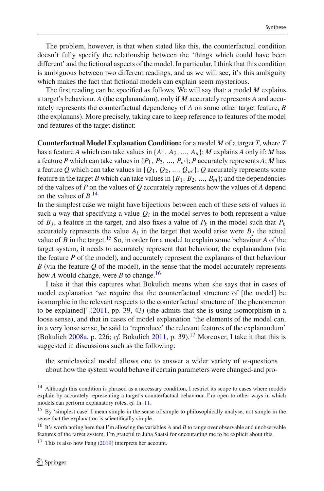The problem, however, is that when stated like this, the counterfactual condition doesn't fully specify the relationship between the 'things which could have been different' and the fictional aspects of the model. In particular, I think that this condition is ambiguous between two different readings, and as we will see, it's this ambiguity which makes the fact that fictional models can explain seem mysterious.

The first reading can be specified as follows. We will say that: a model *M* explains a target's behaviour, *A* (the explanandum), only if *M* accurately represents *A* and accurately represents the counterfactual dependency of *A* on some other target feature, *B* (the explanans). More precisely, taking care to keep reference to features of the model and features of the target distinct:

**Counterfactual Model Explanation Condition:** for a model *M* of a target *T*, where *T* has a feature *A* which can take values in  $\{A_1, A_2, ..., A_n\}$ ; *M* explains *A* only if: *M* has a feature *P* which can take values in  $\{P_1, P_2, ..., P_{n'}\}$ ; *P* accurately represents *A*; *M* has a feature *Q* which can take values in  $\{Q_1, Q_2, ..., Q_{m'}\}$ ; *Q* accurately represents some feature in the target *B* which can take values in  $\{B_1, B_2, ..., B_m\}$ ; and the dependencies of the values of *P* on the values of *Q* accurately represents how the values of *A* depend on the values of *B*. [14](#page-9-0)

In the simplest case we might have bijections between each of these sets of values in such a way that specifying a value  $Q_i$  in the model serves to both represent a value of  $B_i$ , a feature in the target, and also fixes a value of  $P_k$  in the model such that  $P_k$ accurately represents the value  $A_l$  in the target that would arise were  $B_j$  the actual value of *B* in the target.<sup>15</sup> So, in order for a model to explain some behaviour *A* of the target system, it needs to accurately represent that behaviour, the explanandum (via the feature *P* of the model), and accurately represent the explanans of that behaviour *B* (via the feature *Q* of the model), in the sense that the model accurately represents how *A* would change, were *B* to change.<sup>16</sup>

I take it that this captures what Bokulich means when she says that in cases of model explanation 'we require that the counterfactual structure of [the model] be isomorphic in the relevant respects to the counterfactual structure of [the phenomenon to be explained]' [\(2011,](#page-24-4) pp. 39, 43) (she admits that she is using isomorphism in a loose sense), and that in cases of model explanation 'the elements of the model can, in a very loose sense, be said to 'reproduce' the relevant features of the explanandum' (Bokulic[h](#page-24-4)  $2008a$ , p. 226; *cf.* Bokulich  $2011$ , p. 39).<sup>[17](#page-9-3)</sup> Moreover, I take it that this is suggested in discussions such as the following:

the semiclassical model allows one to answer a wider variety of *w*-questions about how the system would behave if certain parameters were changed-and pro-

<span id="page-9-0"></span><sup>&</sup>lt;sup>14</sup> Although this condition is phrased as a necessary condition, I restrict its scope to cases where models explain by accurately representing a target's counterfactual behaviour. I'm open to other ways in which models can perform explanatory roles, *cf.* fn. [11.](#page-7-2)

<span id="page-9-1"></span><sup>15</sup> By 'simplest case' I mean simple in the sense of simple to philosophically analyse, not simple in the sense that the explanation is scientifically simple.

<span id="page-9-2"></span><sup>16</sup> It's worth noting here that I'm allowing the variables *A* and *B* to range over observable and unobservable features of the target system. I'm grateful to Juha Saatsi for encouraging me to be explicit about this.

<span id="page-9-3"></span><sup>&</sup>lt;sup>17</sup> This is also how Fan[g](#page-24-23)  $(2019)$  $(2019)$  interprets her account.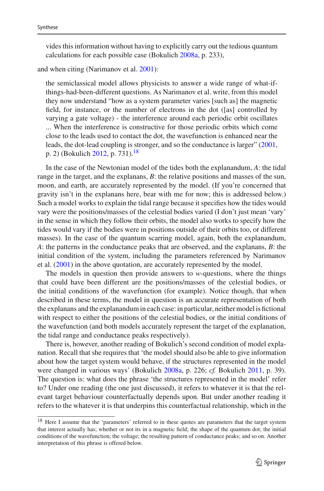vides this information without having to explicitly carry out the tedious quantum calculations for each possible case (Bokulic[h](#page-24-1) [2008a](#page-24-1), p. 233),

#### and when citing (Narimanov et al[.](#page-24-24) [2001](#page-24-24)):

the semiclassical model allows physicists to answer a wide range of what-ifthings-had-been-different questions. As Narimanov et al. write, from this model they now understand "how as a system parameter varies [such as] the magnetic field, for instance, or the number of electrons in the dot ([as] controlled by varying a gate voltage) - the interference around each periodic orbit oscillates ... When the interference is constructive for those periodic orbits which come close to the leads used to contact the dot, the wavefunction is enhanced near the leads, the dot-lead coupling is stronger, and so the conductance is larger" [\(2001](#page-24-24), p. 2) (Bokulic[h](#page-24-5) [2012](#page-24-5), p. 731).<sup>18</sup>

In the case of the Newtonian model of the tides both the explanandum, *A*: the tidal range in the target, and the explanans, *B*: the relative positions and masses of the sun, moon, and earth, are accurately represented by the model. (If you're concerned that gravity isn't in the explanans here, bear with me for now; this is addressed below.) Such a model works to explain the tidal range because it specifies how the tides would vary were the positions/masses of the celestial bodies varied (I don't just mean 'vary' in the sense in which they follow their orbits, the model also works to specify how the tides would vary if the bodies were in positions outside of their orbits too, or different masses). In the case of the quantum scarring model, again, both the explanandum, *A*: the patterns in the conductance peaks that are observed, and the explanans, *B*: the initial condition of the system, including the parameters referenced by Narimanov et al[.](#page-24-24) [\(2001\)](#page-24-24) in the above quotation, are accurately represented by the model.

The models in question then provide answers to *w*-questions, where the things that could have been different are the positions/masses of the celestial bodies, or the initial conditions of the wavefunction (for example). Notice though, that when described in these terms, the model in question is an accurate representation of both the explanans and the explanandum in each case: in particular, neither model is fictional with respect to either the positions of the celestial bodies, or the initial conditions of the wavefunction (and both models accurately represent the target of the explanation, the tidal range and conductance peaks respectively).

There is, however, another reading of Bokulich's second condition of model explanation. Recall that she requires that 'the model should also be able to give information about how the target system would behave, if the structures represented in the model were changed in various ways' (Bokulic[h](#page-24-1) [2008a,](#page-24-1) p. 226; *cf.* Bokulic[h](#page-24-4) [2011](#page-24-4), p. 39). The question is: what does the phrase 'the structures represented in the model' refer to? Under one reading (the one just discussed), it refers to whatever it is that the relevant target behaviour counterfactually depends upon. But under another reading it refers to the whatever it is that underpins this counterfactual relationship, which in the

<span id="page-10-0"></span><sup>&</sup>lt;sup>18</sup> Here I assume that the 'parameters' referred to in these quotes are parameters that the target system that interest actually has; whether or not its in a magnetic field; the shape of the quantum dot; the initial conditions of the wavefunction; the voltage; the resulting pattern of conductance peaks; and so on. Another interpretation of this phrase is offered below.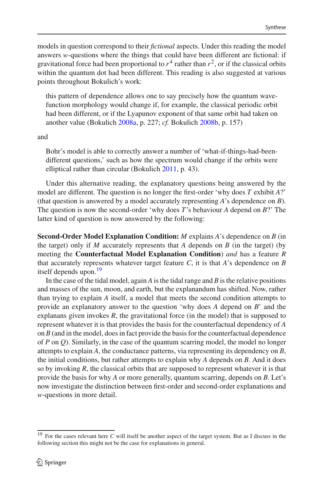models in question correspond to their *fictional* aspects. Under this reading the model answers *w*-questions where the things that could have been different are fictional: if gravitational force had been proportional to  $r<sup>4</sup>$  rather than  $r<sup>2</sup>$ , or if the classical orbits within the quantum dot had been different. This reading is also suggested at various points throughout Bokulich's work:

this pattern of dependence allows one to say precisely how the quantum wavefunction morphology would change if, for example, the classical periodic orbit had been different, or if the Lyapunov exponent of that same orbit had taken on another value (Bokulic[h](#page-24-1) [2008a,](#page-24-1) p. 227; *cf.* Bokulic[h](#page-24-2) [2008b](#page-24-2), p. 157)

and

Bohr's model is able to correctly answer a number of 'what-if-things-had-beendifferent questions,' such as how the spectrum would change if the orbits were elliptical rather than circular (Bokulic[h](#page-24-4) [2011,](#page-24-4) p. 43).

Under this alternative reading, the explanatory questions being answered by the model are different. The question is no longer the first-order 'why does *T* exhibit *A*?' (that question is answered by a model accurately representing *A*'s dependence on *B*). The question is now the second-order 'why does *T*'s behaviour *A* depend on *B*?' The latter kind of question is now answered by the following:

**Second-Order Model Explanation Condition:** *M* explains *A*'s dependence on *B* (in the target) only if *M* accurately represents that *A* depends on *B* (in the target) (by meeting the **Counterfactual Model Explanation Condition**) *and* has a feature *R* that accurately represents whatever target feature *C*, it is that *A*'s dependence on *B* itself depends upon.<sup>19</sup>

In the case of the tidal model, again *A* is the tidal range and *B* is the relative positions and masses of the sun, moon, and earth, but the explanandum has shifted. Now, rather than trying to explain *A* itself, a model that meets the second condition attempts to provide an explanatory answer to the question 'why does *A* depend on *B*' and the explanans given invokes *R*, the gravitational force (in the model) that is supposed to represent whatever it is that provides the basis for the counterfactual dependency of *A* on *B* (and in the model, does in fact provide the basis for the counterfactual dependence of *P* on *Q*). Similarly, in the case of the quantum scarring model, the model no longer attempts to explain *A*, the conductance patterns, via representing its dependency on *B*, the initial conditions, but rather attempts to explain why *A* depends on *B*. And it does so by invoking *R*, the classical orbits that are supposed to represent whatever it is that provide the basis for why *A* or more generally, quantum scarring, depends on *B*. Let's now investigate the distinction between first-order and second-order explanations and *w*-questions in more detail.

<span id="page-11-0"></span><sup>19</sup> For the cases relevant here *C* will itself be another aspect of the target system. But as I discuss in the following section this might not be the case for explanations in general.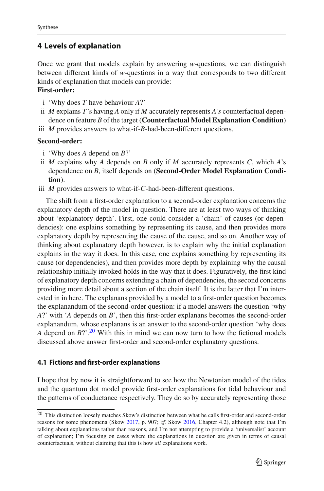## <span id="page-12-0"></span>**4 Levels of explanation**

Once we grant that models explain by answering *w*-questions, we can distinguish between different kinds of *w*-questions in a way that corresponds to two different kinds of explanation that models can provide:

### **First-order:**

- i 'Why does *T* have behaviour *A*?'
- ii *M* explains *T*'s having *A* only if *M* accurately represents *A's* counterfactual dependence on feature *B* of the target (**Counterfactual Model Explanation Condition**)
- iii *M* provides answers to what-if-*B*-had-been-different questions.

## **Second-order:**

- i 'Why does *A* depend on *B*?'
- ii *M* explains why *A* depends on *B* only if *M* accurately represents *C*, which *A*'s dependence on *B*, itself depends on (**Second-Order Model Explanation Condition**).
- iii *M* provides answers to what-if-*C*-had-been-different questions.

The shift from a first-order explanation to a second-order explanation concerns the explanatory depth of the model in question. There are at least two ways of thinking about 'explanatory depth'. First, one could consider a 'chain' of causes (or dependencies): one explains something by representing its cause, and then provides more explanatory depth by representing the cause of the cause, and so on. Another way of thinking about explanatory depth however, is to explain why the initial explanation explains in the way it does. In this case, one explains something by representing its cause (or dependencies), and then provides more depth by explaining why the causal relationship initially invoked holds in the way that it does. Figuratively, the first kind of explanatory depth concerns extending a chain of dependencies, the second concerns providing more detail about a section of the chain itself. It is the latter that I'm interested in in here. The explanans provided by a model to a first-order question becomes the explanandum of the second-order question: if a model answers the question 'why *A*?' with '*A* depends on *B*', then this first-order explanans becomes the second-order explanandum, whose explanans is an answer to the second-order question 'why does *A* depend on  $B$ ?'.<sup>[20](#page-12-2)</sup> With this in mind we can now turn to how the fictional models discussed above answer first-order and second-order explanatory questions.

## <span id="page-12-1"></span>**4.1 Fictions and first-order explanations**

I hope that by now it is straightforward to see how the Newtonian model of the tides and the quantum dot model provide first-order explanations for tidal behaviour and the patterns of conductance respectively. They do so by accurately representing those

<span id="page-12-2"></span><sup>&</sup>lt;sup>20</sup> This distinction loosely matches Skow's distinction between what he calls first-order and second-order reasons for some phenomena (Sko[w](#page-25-1) [2017,](#page-25-1) p. 907; *cf.* Sko[w](#page-25-0) [2016,](#page-25-0) Chapter 4.2), although note that I'm talking about explanations rather than reasons, and I'm not attempting to provide a 'universalist' account of explanation; I'm focusing on cases where the explanations in question are given in terms of causal counterfactuals, without claiming that this is how *all* explanations work.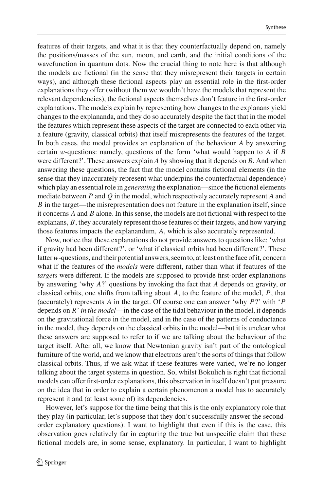features of their targets, and what it is that they counterfactually depend on, namely the positions/masses of the sun, moon, and earth, and the initial conditions of the wavefunction in quantum dots. Now the crucial thing to note here is that although the models are fictional (in the sense that they misrepresent their targets in certain ways), and although these fictional aspects play an essential role in the first-order explanations they offer (without them we wouldn't have the models that represent the relevant dependencies), the fictional aspects themselves don't feature in the first-order explanations. The models explain by representing how changes to the explanans yield changes to the explananda, and they do so accurately despite the fact that in the model the features which represent these aspects of the target are connected to each other via a feature (gravity, classical orbits) that itself misrepresents the features of the target. In both cases, the model provides an explanation of the behaviour *A* by answering certain *w*-questions: namely, questions of the form 'what would happen to *A* if *B* were different?'. These answers explain *A* by showing that it depends on *B*. And when answering these questions, the fact that the model contains fictional elements (in the sense that they inaccurately represent what underpins the counterfactual dependence) which play an essential role in *generating* the explanation—since the fictional elements mediate between *P* and *Q* in the model, which respectively accurately represent *A* and *B* in the target—the misrepresentation does not feature in the explanation itself, since it concerns *A* and *B* alone. In this sense, the models are not fictional with respect to the explanans, *B*, they accurately represent those features of their targets, and how varying those features impacts the explanandum, *A*, which is also accurately represented.

Now, notice that these explanations do not provide answers to questions like: 'what if gravity had been different?', or 'what if classical orbits had been different?'. These latter*w*-questions, and their potential answers, seem to, at least on the face of it, concern what if the features of the *models* were different, rather than what if features of the *targets* were different. If the models are supposed to provide first-order explanations by answering 'why *A*?' questions by invoking the fact that *A* depends on gravity, or classical orbits, one shifts from talking about *A*, to the feature of the model, *P*, that (accurately) represents *A* in the target. Of course one can answer 'why *P*?' with '*P* depends on *R*' *in the model*—in the case of the tidal behaviour in the model, it depends on the gravitational force in the model, and in the case of the patterns of conductance in the model, they depends on the classical orbits in the model—but it is unclear what these answers are supposed to refer to if we are talking about the behaviour of the target itself. After all, we know that Newtonian gravity isn't part of the ontological furniture of the world, and we know that electrons aren't the sorts of things that follow classical orbits. Thus, if we ask what if these features were varied, we're no longer talking about the target systems in question. So, whilst Bokulich is right that fictional models can offer first-order explanations, this observation in itself doesn't put pressure on the idea that in order to explain a certain phenomenon a model has to accurately represent it and (at least some of) its dependencies.

However, let's suppose for the time being that this is the only explanatory role that they play (in particular, let's suppose that they don't successfully answer the secondorder explanatory questions). I want to highlight that even if this is the case, this observation goes relatively far in capturing the true but unspecific claim that these fictional models are, in some sense, explanatory. In particular, I want to highlight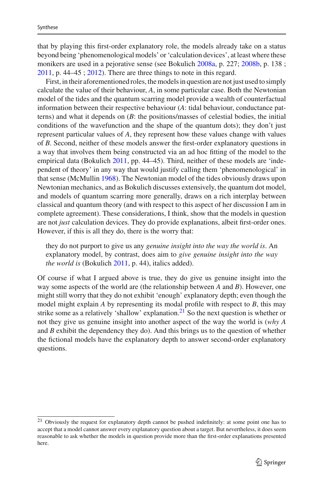that by playing this first-order explanatory role, the models already take on a status beyond being 'phenomenological models' or 'calculation devices', at least where these monikers are used in a pejorative sense (see Bokulic[h](#page-24-1) [2008a,](#page-24-1) p. 227; [2008b](#page-24-2), p. 138 ;  $2011$ , p. 44–45;  $2012$ ). There are three things to note in this regard.

First, in their aforementioned roles, the models in question are not just used to simply calculate the value of their behaviour, *A*, in some particular case. Both the Newtonian model of the tides and the quantum scarring model provide a wealth of counterfactual information between their respective behaviour (*A*: tidal behaviour, conductance patterns) and what it depends on (*B*: the positions/masses of celestial bodies, the initial conditions of the wavefunction and the shape of the quantum dots); they don't just represent particular values of *A*, they represent how these values change with values of *B*. Second, neither of these models answer the first-order explanatory questions in a way that involves them being constructed via an ad hoc fitting of the model to the empirical data (Bokulic[h](#page-24-4) [2011,](#page-24-4) pp. 44–45). Third, neither of these models are 'independent of theory' in any way that would justify calling them 'phenomenological' in that sense (McMulli[n](#page-24-25) [1968](#page-24-25)). The Newtonian model of the tides obviously draws upon Newtonian mechanics, and as Bokulich discusses extensively, the quantum dot model, and models of quantum scarring more generally, draws on a rich interplay between classical and quantum theory (and with respect to this aspect of her discussion I am in complete agreement). These considerations, I think, show that the models in question are not *just* calculation devices. They do provide explanations, albeit first-order ones. However, if this is all they do, there is the worry that:

they do not purport to give us any *genuine insight into the way the world is*. An explanatory model, by contrast, does aim to *give genuine insight into the way the world is* (Bokulic[h](#page-24-4) [2011,](#page-24-4) p. 44), italics added).

Of course if what I argued above is true, they do give us genuine insight into the way some aspects of the world are (the relationship between *A* and *B*). However, one might still worry that they do not exhibit 'enough' explanatory depth; even though the model might explain *A* by representing its modal profile with respect to *B*, this may strike some as a relatively 'shallow' explanation.<sup>[21](#page-14-0)</sup> So the next question is whether or not they give us genuine insight into another aspect of the way the world is (*why A* and *B* exhibit the dependency they do). And this brings us to the question of whether the fictional models have the explanatory depth to answer second-order explanatory questions.

<span id="page-14-0"></span><sup>21</sup> Obviously the request for explanatory depth cannot be pushed indefinitely: at some point one has to accept that a model cannot answer every explanatory question about a target. But nevertheless, it does seem reasonable to ask whether the models in question provide more than the first-order explanations presented here.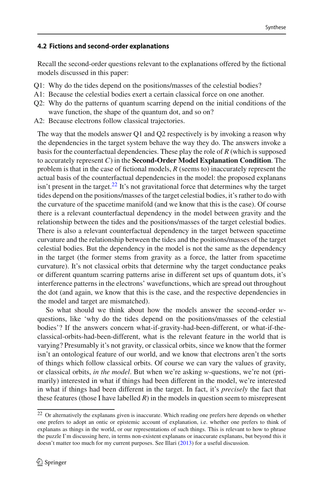## <span id="page-15-0"></span>**4.2 Fictions and second-order explanations**

Recall the second-order questions relevant to the explanations offered by the fictional models discussed in this paper:

- Q1: Why do the tides depend on the positions/masses of the celestial bodies?
- A1: Because the celestial bodies exert a certain classical force on one another.
- Q2: Why do the patterns of quantum scarring depend on the initial conditions of the wave function, the shape of the quantum dot, and so on?
- A2: Because electrons follow classical trajectories.

The way that the models answer Q1 and Q2 respectively is by invoking a reason why the dependencies in the target system behave the way they do. The answers invoke a basis for the counterfactual dependencies. These play the role of *R* (which is supposed to accurately represent *C*) in the **Second-Order Model Explanation Condition**. The problem is that in the case of fictional models, *R* (seems to) inaccurately represent the actual basis of the counterfactual dependencies in the model: the proposed explanans isn't present in the target.<sup>[22](#page-15-1)</sup> It's not gravitational force that determines why the target tides depend on the positions/masses of the target celestial bodies, it's rather to do with the curvature of the spacetime manifold (and we know that this is the case). Of course there is a relevant counterfactual dependency in the model between gravity and the relationship between the tides and the positions/masses of the target celestial bodies. There is also a relevant counterfactual dependency in the target between spacetime curvature and the relationship between the tides and the positions/masses of the target celestial bodies. But the dependency in the model is not the same as the dependency in the target (the former stems from gravity as a force, the latter from spacetime curvature). It's not classical orbits that determine why the target conductance peaks or different quantum scarring patterns arise in different set ups of quantum dots, it's interference patterns in the electrons' wavefunctions, which are spread out throughout the dot (and again, we know that this is the case, and the respective dependencies in the model and target are mismatched).

So what should we think about how the models answer the second-order *w*questions, like 'why do the tides depend on the positions/masses of the celestial bodies'? If the answers concern what-if-gravity-had-been-different, or what-if-theclassical-orbits-had-been-different, what is the relevant feature in the world that is varying? Presumably it's not gravity, or classical orbits, since we know that the former isn't an ontological feature of our world, and we know that electrons aren't the sorts of things which follow classical orbits. Of course we can vary the values of gravity, or classical orbits, *in the model*. But when we're asking *w*-questions, we're not (primarily) interested in what if things had been different in the model, we're interested in what if things had been different in the target. In fact, it's *precisely* the fact that these features (those I have labelled  $R$ ) in the models in question seem to misrepresent

<span id="page-15-1"></span><sup>&</sup>lt;sup>22</sup> Or alternatively the explanans given is inaccurate. Which reading one prefers here depends on whether one prefers to adopt an ontic or epistemic account of explanation, i.e. whether one prefers to think of explanans as things in the world, or our representations of such things. This is relevant to how to phrase the puzzle I'm discussing here, in terms non-existent explanans or inaccurate explanans, but beyond this it doesn't matter too much for my current purposes. See Illar[i](#page-24-26) [\(2013](#page-24-26)) for a useful discussion.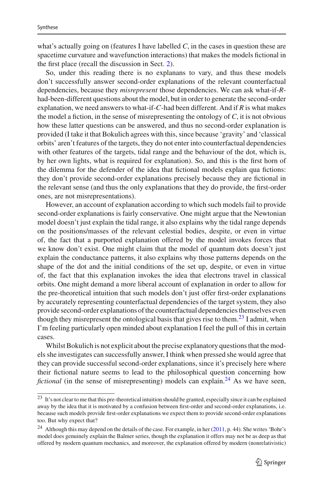what's actually going on (features I have labelled *C*, in the cases in question these are spacetime curvature and wavefunction interactions) that makes the models fictional in the first place (recall the discussion in Sect. [2\)](#page-2-0).

So, under this reading there is no explanans to vary, and thus these models don't successfully answer second-order explanations of the relevant counterfactual dependencies, because they *misrepresent* those dependencies. We can ask what-if-*R*had-been-different questions about the model, but in order to generate the second-order explanation, we need answers to what-if-*C*-had been different. And if *R* is what makes the model a fiction, in the sense of misrepresenting the ontology of *C*, it is not obvious how these latter questions can be answered, and thus no second-order explanation is provided (I take it that Bokulich agrees with this, since because 'gravity' and 'classical orbits' aren't features of the targets, they do not enter into counterfactual dependencies with other features of the targets, tidal range and the behaviour of the dot, which is, by her own lights, what is required for explanation). So, and this is the first horn of the dilemma for the defender of the idea that fictional models explain qua fictions: they don't provide second-order explanations precisely because they are fictional in the relevant sense (and thus the only explanations that they do provide, the first-order ones, are not misrepresentations).

However, an account of explanation according to which such models fail to provide second-order explanations is fairly conservative. One might argue that the Newtonian model doesn't just explain the tidal range, it also explains why the tidal range depends on the positions/masses of the relevant celestial bodies, despite, or even in virtue of, the fact that a purported explanation offered by the model invokes forces that we know don't exist. One might claim that the model of quantum dots doesn't just explain the conductance patterns, it also explains why those patterns depends on the shape of the dot and the initial conditions of the set up, despite, or even in virtue of, the fact that this explanation invokes the idea that electrons travel in classical orbits. One might demand a more liberal account of explanation in order to allow for the pre-theoretical intuition that such models don't just offer first-order explanations by accurately representing counterfactual dependencies of the target system, they also provide second-order explanations of the counterfactual dependencies themselves even though they misrepresent the ontological basis that gives rise to them.[23](#page-16-0) I admit, when I'm feeling particularly open minded about explanation I feel the pull of this in certain cases.

Whilst Bokulich is not explicit about the precise explanatory questions that the models she investigates can successfully answer, I think when pressed she would agree that they can provide successful second-order explanations, since it's precisely here where their fictional nature seems to lead to the philosophical question concerning how *fictional* (in the sense of misrepresenting) models can explain.<sup>24</sup> As we have seen,

<span id="page-16-0"></span><sup>23</sup> It's not clear to me that this pre-theoretical intuition should be granted, especially since it can be explained away by the idea that it is motivated by a confusion between first-order and second-order explanations, i.e. because such models provide first-order explanations we expect them to provide second-order explanations too. But why expect that?

<span id="page-16-1"></span><sup>24</sup> Although this may depend on the details of the case. For example, in her [\(2011,](#page-24-4) p. 44). She writes 'Bohr's model does genuinely explain the Balmer series, though the explanation it offers may not be as deep as that offered by modern quantum mechanics, and moreover, the explanation offered by modern (nonrelativistic)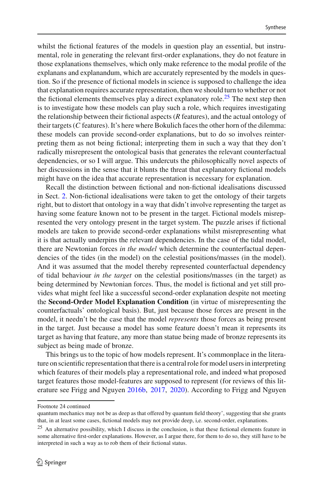whilst the fictional features of the models in question play an essential, but instrumental, role in generating the relevant first-order explanations, they do not feature in those explanations themselves, which only make reference to the modal profile of the explanans and explanandum, which are accurately represented by the models in question. So if the presence of fictional models in science is supposed to challenge the idea that explanation requires accurate representation, then we should turn to whether or not the fictional elements themselves play a direct explanatory role.<sup>[25](#page-17-0)</sup> The next step then is to investigate how these models can play such a role, which requires investigating the relationship between their fictional aspects (*R* features), and the actual ontology of their targets (*C* features). It's here where Bokulich faces the other horn of the dilemma: these models can provide second-order explanations, but to do so involves reinterpreting them as not being fictional; interpreting them in such a way that they don't radically misrepresent the ontological basis that generates the relevant counterfactual dependencies, or so I will argue. This undercuts the philosophically novel aspects of her discussions in the sense that it blunts the threat that explanatory fictional models might have on the idea that accurate representation is necessary for explanation.

Recall the distinction between fictional and non-fictional idealisations discussed in Sect. [2.](#page-2-0) Non-fictional idealisations were taken to get the ontology of their targets right, but to distort that ontology in a way that didn't involve representing the target as having some feature known not to be present in the target. Fictional models misrepresented the very ontology present in the target system. The puzzle arises if fictional models are taken to provide second-order explanations whilst misrepresenting what it is that actually underpins the relevant dependencies. In the case of the tidal model, there are Newtonian forces *in the model* which determine the counterfactual dependencies of the tides (in the model) on the celestial positions/masses (in the model). And it was assumed that the model thereby represented counterfactual dependency of tidal behaviour *in the target* on the celestial positions/masses (in the target) as being determined by Newtonian forces. Thus, the model is fictional and yet still provides what might feel like a successful second-order explanation despite not meeting the **Second-Order Model Explanation Condition** (in virtue of misrepresenting the counterfactuals' ontological basis). But, just because those forces are present in the model, it needn't be the case that the model *represents* those forces as being present in the target. Just because a model has some feature doesn't mean it represents its target as having that feature, any more than statue being made of bronze represents its subject as being made of bronze.

This brings us to the topic of how models represent. It's commonplace in the literature on scientific representation that there is a central role for model users in interpreting which features of their models play a representational role, and indeed what proposed target features those model-features are supposed to represent (for reviews of this literature see Frigg and Nguye[n](#page-24-27) [2016b,](#page-24-27) [2017](#page-24-28), [2020\)](#page-24-29). According to Frigg and Nguye[n](#page-24-10)

Footnote 24 continued

quantum mechanics may not be as deep as that offered by quantum field theory', suggesting that she grants that, in at least some cases, fictional models may not provide deep, i,e. second-order, explanations.

<span id="page-17-0"></span><sup>&</sup>lt;sup>25</sup> An alternative possibility, which I discuss in the conclusion, is that these fictional elements feature in some alternative first-order explanations. However, as I argue there, for them to do so, they still have to be interpreted in such a way as to rob them of their fictional status.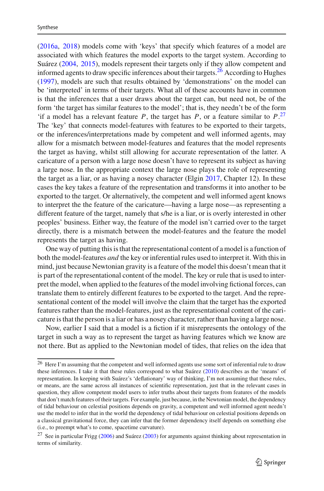[\(2016a](#page-24-10), [2018](#page-24-14)) models come with 'keys' that specify which features of a model are associated with which features the model exports to the target system. According to Suáre[z](#page-25-25) [\(2004](#page-25-25), [2015\)](#page-25-26), models represent their targets only if they allow competent and informed agent[s](#page-24-30) to draw specific inferences about their targets.  $^{26}$  $^{26}$  $^{26}$  According to Hughes [\(1997\)](#page-24-30), models are such that results obtained by 'demonstrations' on the model can be 'interpreted' in terms of their targets. What all of these accounts have in common is that the inferences that a user draws about the target can, but need not, be of the form 'the target has similar features to the model'; that is, they needn't be of the form 'if a model has a relevant feature  $P$ , the target has  $P$ , or a feature similar to  $P^{27}$  $P^{27}$  $P^{27}$ The 'key' that connects model-features with features to be exported to their targets, or the inferences/interpretations made by competent and well informed agents, may allow for a mismatch between model-features and features that the model represents the target as having, whilst still allowing for accurate representation of the latter. A caricature of a person with a large nose doesn't have to represent its subject as having a large nose. In the appropriate context the large nose plays the role of representing the target as a liar, or as having a nosey character (Elgi[n](#page-24-31) [2017,](#page-24-31) Chapter 12). In these cases the key takes a feature of the representation and transforms it into another to be exported to the target. Or alternatively, the competent and well informed agent knows to interpret the the feature of the caricature—having a large nose—as representing a different feature of the target, namely that s/he is a liar, or is overly interested in other peoples' business. Either way, the feature of the model isn't carried over to the target directly, there is a mismatch between the model-features and the feature the model represents the target as having.

One way of putting this is that the representational content of a model is a function of both the model-features *and* the key or inferential rules used to interpret it. With this in mind, just because Newtonian gravity is a feature of the model this doesn't mean that it is part of the representational content of the model. The key or rule that is used to interpret the model, when applied to the features of the model involving fictional forces, can translate them to entirely different features to be exported to the target. And the representational content of the model will involve the claim that the target has the exported features rather than the model-features, just as the representational content of the caricature is that the person is a liar or has a nosey character, rather than having a large nose.

Now, earlier I said that a model is a fiction if it misrepresents the ontology of the target in such a way as to represent the target as having features which we know are not there. But as applied to the Newtonian model of tides, that relies on the idea that

<span id="page-18-0"></span><sup>&</sup>lt;sup>26</sup> Here I'm assuming that the competent and well informed agents use some sort of inferential rule to draw these inferences. I take it that these rules correspond to what Suáre[z](#page-25-27) [\(2010](#page-25-27)) describes as the 'means' of representation. In keeping with Suárez's 'deflationary' way of thinking, I'm not assuming that these rules, or means, are the same across all instances of scientific representation, just that in the relevant cases in question, they allow competent model users to infer truths about their targets from features of the models that don't match features of their targets. For example, just because, in the Newtonian model, the dependency of tidal behaviour on celestial positions depends on gravity, a competent and well informed agent needn't use the model to infer that in the world the dependency of tidal behaviour on celestial positions depends on a classical gravitational force, they can infer that the former dependency itself depends on something else (i.e., to preempt what's to come, spacetime curvature).

<span id="page-18-1"></span> $27$  See in particular Fri[g](#page-24-32)g [\(2006](#page-24-32)) and Suáre[z](#page-25-28) [\(2003](#page-25-28)) for arguments against thinking about representation in terms of similarity.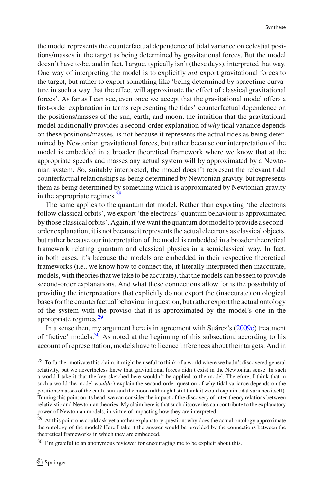the model represents the counterfactual dependence of tidal variance on celestial positions/masses in the target as being determined by gravitational forces. But the model doesn't have to be, and in fact, I argue, typically isn't (these days), interpreted that way. One way of interpreting the model is to explicitly *not* export gravitational forces to the target, but rather to export something like 'being determined by spacetime curvature in such a way that the effect will approximate the effect of classical gravitational forces'. As far as I can see, even once we accept that the gravitational model offers a first-order explanation in terms representing the tides' counterfactual dependence on the positions/masses of the sun, earth, and moon, the intuition that the gravitational model additionally provides a second-order explanation of *why* tidal variance depends on these positions/masses, is not because it represents the actual tides as being determined by Newtonian gravitational forces, but rather because our interpretation of the model is embedded in a broader theoretical framework where we know that at the appropriate speeds and masses any actual system will by approximated by a Newtonian system. So, suitably interpreted, the model doesn't represent the relevant tidal counterfactual relationships as being determined by Newtonian gravity, but represents them as being determined by something which is approximated by Newtonian gravity in the appropriate regimes. $^{28}$ 

The same applies to the quantum dot model. Rather than exporting 'the electrons follow classical orbits', we export 'the electrons' quantum behaviour is approximated by those classical orbits'. Again, if we want the quantum dot model to provide a secondorder explanation, it is not because it represents the actual electrons as classical objects, but rather because our interpretation of the model is embedded in a broader theoretical framework relating quantum and classical physics in a semiclassical way. In fact, in both cases, it's because the models are embedded in their respective theoretical frameworks (i.e., we know how to connect the, if literally interpreted then inaccurate, models, with theories that we take to be accurate), that the models can be seen to provide second-order explanations. And what these connections allow for is the possibility of providing the interpretations that explicitly do not export the (inaccurate) ontological bases for the counterfactual behaviour in question, but rather export the actual ontology of the system with the proviso that it is approximated by the model's one in the appropriate regimes[.29](#page-19-1)

In a sense then, my argument here is in agreement with Suárez's [\(2009c\)](#page-25-17) treatment of 'fictive' models.<sup>30</sup> As noted at the beginning of this subsection, according to his account of representation, models have to licence inferences about their targets. And in

<span id="page-19-0"></span><sup>28</sup> To further motivate this claim, it might be useful to think of a world where we hadn't discovered general relativity, but we nevertheless knew that gravitational forces didn't exist in the Newtonian sense. In such a world I take it that the key sketched here wouldn't be applied to the model. Therefore, I think that in such a world the model *wouldn't* explain the second-order question of why tidal variance depends on the positions/masses of the earth, sun, and the moon (although I still think it would explain tidal variance itself). Turning this point on its head, we can consider the impact of the discovery of inter-theory relations between relativistic and Newtonian theories. My claim here is that such discoveries can contribute to the explanatory power of Newtonian models, in virtue of impacting how they are interpreted.

<span id="page-19-1"></span><sup>&</sup>lt;sup>29</sup> At this point one could ask yet another explanatory question: why does the actual ontology approximate the ontology of the model? Here I take it the answer would be provided by the connections between the theoretical frameworks in which they are embedded.

<span id="page-19-2"></span> $30\,$  I'm grateful to an anonymous reviewer for encouraging me to be explicit about this.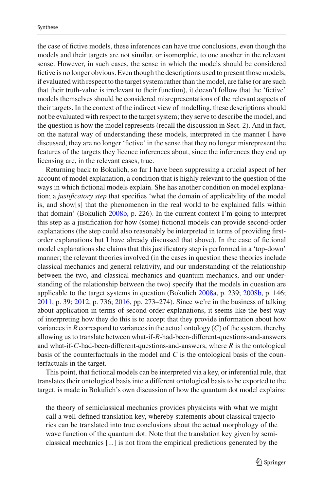the case of fictive models, these inferences can have true conclusions, even though the models and their targets are not similar, or isomorphic, to one another in the relevant sense. However, in such cases, the sense in which the models should be considered fictive is no longer obvious. Even though the descriptions used to present those models, if evaluated with respect to the target system rather than the model, are false (or are such that their truth-value is irrelevant to their function), it doesn't follow that the 'fictive' models themselves should be considered misrepresentations of the relevant aspects of their targets. In the context of the indirect view of modelling, these descriptions should not be evaluated with respect to the target system; they serve to describe the model, and the question is how the model represents (recall the discussion in Sect. [2\)](#page-2-0). And in fact, on the natural way of understanding these models, interpreted in the manner I have discussed, they are no longer 'fictive' in the sense that they no longer misrepresent the features of the targets they licence inferences about, since the inferences they end up licensing are, in the relevant cases, true.

Returning back to Bokulich, so far I have been suppressing a crucial aspect of her account of model explanation, a condition that is highly relevant to the question of the ways in which fictional models explain. She has another condition on model explanation; a *justificatory step* that specifies 'what the domain of applicability of the model is, and show[s] that the phenomenon in the real world to be explained falls within that domain' (Bokulic[h](#page-24-2) [2008b](#page-24-2), p. 226). In the current context I'm going to interpret this step as a justification for how (some) fictional models can provide second-order explanations (the step could also reasonably be interpreted in terms of providing firstorder explanations but I have already discussed that above). In the case of fictional model explanations she claims that this justificatory step is performed in a 'top-down' manner; the relevant theories involved (in the cases in question these theories include classical mechanics and general relativity, and our understanding of the relationship between the two, and classical mechanics and quantum mechanics, and our understanding of the relationship between the two) specify that the models in question are applicable to the target systems in question (Bokulic[h](#page-24-1) [2008a,](#page-24-1) p. 239; [2008b,](#page-24-2) p. 146; [2011,](#page-24-4) p. 39; [2012,](#page-24-5) p. 736; [2016,](#page-24-0) pp. 273–274). Since we're in the business of talking about application in terms of second-order explanations, it seems like the best way of interpreting how they do this is to accept that they provide information about how variances in  $R$  correspond to variances in the actual ontology  $(C)$  of the system, thereby allowing us to translate between what-if-*R*-had-been-different-questions-and-answers and what-if-*C*-had-been-different-questions-and-answers, where *R* is the ontological basis of the counterfactuals in the model and *C* is the ontological basis of the counterfactuals in the target.

This point, that fictional models can be interpreted via a key, or inferential rule, that translates their ontological basis into a different ontological basis to be exported to the target, is made in Bokulich's own discussion of how the quantum dot model explains:

the theory of semiclassical mechanics provides physicists with what we might call a well-defined translation key, whereby statements about classical trajectories can be translated into true conclusions about the actual morphology of the wave function of the quantum dot. Note that the translation key given by semiclassical mechanics [...] is not from the empirical predictions generated by the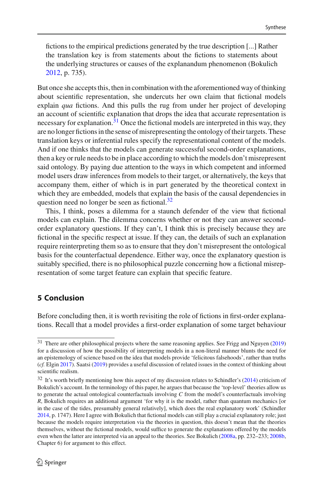fictions to the empirical predictions generated by the true description [...] Rather the translation key is from statements about the fictions to statements about the underlying structures or causes of the explanandum phenomenon (Bokulic[h](#page-24-5) [2012,](#page-24-5) p. 735).

But once she accepts this, then in combination with the aforementioned way of thinking about scientific representation, she undercuts her own claim that fictional models explain *qua* fictions. And this pulls the rug from under her project of developing an account of scientific explanation that drops the idea that accurate representation is necessary for explanation.<sup>[31](#page-21-1)</sup> Once the fictional models are interpreted in this way, they are no longer fictions in the sense of misrepresenting the ontology of their targets. These translation keys or inferential rules specify the representational content of the models. And if one thinks that the models can generate successful second-order explanations, then a key or rule needs to be in place according to which the models don't misrepresent said ontology. By paying due attention to the ways in which competent and informed model users draw inferences from models to their target, or alternatively, the keys that accompany them, either of which is in part generated by the theoretical context in which they are embedded, models that explain the basis of the causal dependencies in question need no longer be seen as fictional. $32$ 

This, I think, poses a dilemma for a staunch defender of the view that fictional models can explain. The dilemma concerns whether or not they can answer secondorder explanatory questions. If they can't, I think this is precisely because they are fictional in the specific respect at issue. If they can, the details of such an explanation require reinterpreting them so as to ensure that they don't misrepresent the ontological basis for the counterfactual dependence. Either way, once the explanatory question is suitably specified, there is no philosophical puzzle concerning how a fictional misrepresentation of some target feature can explain that specific feature.

## <span id="page-21-0"></span>**5 Conclusion**

Before concluding then, it is worth revisiting the role of fictions in first-order explanations. Recall that a model provides a first-order explanation of some target behaviour

<span id="page-21-1"></span><sup>31</sup> There are other philosophical projects where the same reasoning applies. See Frigg and Nguye[n](#page-24-33) [\(2019](#page-24-33)) for a discussion of how the possibility of interpreting models in a non-literal manner blunts the need for an epistemology of science based on the idea that models provide 'felicitous falsehoods', rather than truths (*cf.* Elgi[n](#page-24-31) [2017\)](#page-24-31). Saats[i](#page-25-29) [\(2019](#page-25-29)) provides a useful discussion of related issues in the context of thinking about scientific realism.

<span id="page-21-2"></span> $32$  It's worth briefly mentioning how this aspect of my discussion relates to Schindler's [\(2014](#page-25-24)) criticism of Bokulich's account. In the terminology of this paper, he argues that because the 'top-level' theories allow us to generate the actual ontological counterfactuals involving *C* from the model's counterfactuals involving *R*, Bokulich requires an additional argument 'for why it is the model, rather than quantum mechanics [or in the case of the tides, presumably general relatively], which does the real explanatory work' (Schindle[r](#page-25-24) [2014,](#page-25-24) p. 1747). Here I agree with Bokulich that fictional models can still play a crucial explanatory role; just because the models require interpretation via the theories in question, this doesn't mean that the theories themselves, without the fictional models, would suffice to generate the explanations offered by the models even when the latter are interpreted via an appeal to the theories. See Bokulich [\(2008a](#page-24-1), pp. 232–233; [2008b](#page-24-2), Chapter 6) for argument to this effect.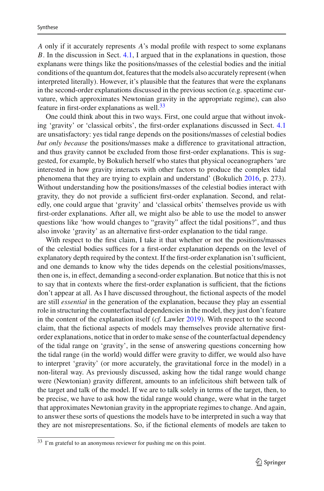*A* only if it accurately represents *A*'s modal profile with respect to some explanans *B*. In the discussion in Sect. [4.1,](#page-12-1) I argued that in the explanations in question, those explanans were things like the positions/masses of the celestial bodies and the initial conditions of the quantum dot, features that the models also accurately represent (when interpreted literally). However, it's plausible that the features that were the explanans in the second-order explanations discussed in the previous section (e.g. spacetime curvature, which approximates Newtonian gravity in the appropriate regime), can also feature in first-order explanations as well.<sup>[33](#page-22-0)</sup>

One could think about this in two ways. First, one could argue that without invoking 'gravity' or 'classical orbits', the first-order explanations discussed in Sect. [4.1](#page-12-1) are unsatisfactory: yes tidal range depends on the positions/masses of celestial bodies *but only because* the positions/masses make a difference to gravitational attraction, and thus gravity cannot be excluded from those first-order explanations. This is suggested, for example, by Bokulich herself who states that physical oceanographers 'are interested in how gravity interacts with other factors to produce the complex tidal phenomena that they are trying to explain and understand' (Bokulic[h](#page-24-0) [2016,](#page-24-0) p. 273). Without understanding how the positions/masses of the celestial bodies interact with gravity, they do not provide a sufficient first-order explanation. Second, and relatedly, one could argue that 'gravity' and 'classical orbits' themselves provide us with first-order explanations. After all, we might also be able to use the model to answer questions like 'how would changes to "gravity" affect the tidal positions?', and thus also invoke 'gravity' as an alternative first-order explanation to the tidal range.

With respect to the first claim, I take it that whether or not the positions/masses of the celestial bodies suffices for a first-order explanation depends on the level of explanatory depth required by the context. If the first-order explanation isn't sufficient, and one demands to know why the tides depends on the celestial positions/masses, then one is, in effect, demanding a second-order explanation. But notice that this is not to say that in contexts where the first-order explanation is sufficient, that the fictions don't appear at all. As I have discussed throughout, the fictional aspects of the model are still *essential* in the generation of the explanation, because they play an essential role in structuring the counterfactual dependencies in the model, they just don't feature in the content of the explanation itself (*cf.* Lawle[r](#page-24-34) [2019\)](#page-24-34). With respect to the second claim, that the fictional aspects of models may themselves provide alternative firstorder explanations, notice that in order to make sense of the counterfactual dependency of the tidal range on 'gravity', in the sense of answering questions concerning how the tidal range (in the world) would differ were gravity to differ, we would also have to interpret 'gravity' (or more accurately, the gravitational force in the model) in a non-literal way. As previously discussed, asking how the tidal range would change were (Newtonian) gravity different, amounts to an infelicitous shift between talk of the target and talk of the model. If we are to talk solely in terms of the target, then, to be precise, we have to ask how the tidal range would change, were what in the target that approximates Newtonian gravity in the appropriate regimes to change. And again, to answer these sorts of questions the models have to be interpreted in such a way that they are not misrepresentations. So, if the fictional elements of models are taken to

<span id="page-22-0"></span><sup>33</sup> I'm grateful to an anonymous reviewer for pushing me on this point.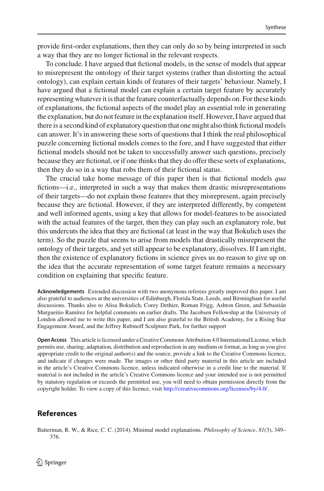provide first-order explanations, then they can only do so by being interpreted in such a way that they are no longer fictional in the relevant respects.

To conclude. I have argued that fictional models, in the sense of models that appear to misrepresent the ontology of their target systems (rather than distorting the actual ontology), can explain certain kinds of features of their targets' behaviour. Namely, I have argued that a fictional model can explain a certain target feature by accurately representing whatever it is that the feature counterfactually depends on. For these kinds of explanations, the fictional aspects of the model play an essential role in generating the explanation, but do not feature in the explanation itself. However, I have argued that there is a second kind of explanatory question that one might also think fictional models can answer. It's in answering these sorts of questions that I think the real philosophical puzzle concerning fictional models comes to the fore, and I have suggested that either fictional models should not be taken to successfully answer such questions, precisely because they are fictional, or if one thinks that they do offer these sorts of explanations, then they do so in a way that robs them of their fictional status.

The crucial take home message of this paper then is that fictional models *qua* fictions—i.e., interpreted in such a way that makes them drastic misrepresentations of their targets—do not explain those features that they misrepresent, again precisely because they are fictional. However, if they are interpreted differently, by competent and well informed agents, using a key that allows for model-features to be associated with the actual features of the target, then they can play such an explanatory role, but this undercuts the idea that they are fictional (at least in the way that Bokulich uses the term). So the puzzle that seems to arise from models that drastically misrepresent the ontology of their targets, and yet still appear to be explanatory, dissolves. If I am right, then the existence of explanatory fictions in science gives us no reason to give up on the idea that the accurate representation of some target feature remains a necessary condition on explaining that specific feature.

**Acknowledgements** Extended discussion with two anonymous referees greatly improved this paper. I am also grateful to audiences at the universities of Edinburgh, Florida State, Leeds, and Birmingham for useful discussions. Thanks also to Alisa Bokulich, Corey Dethier, Roman Frigg, Ashton Green, and Sebastián Murgueitio Ramírez for helpful comments on earlier drafts. The Jacobsen Fellowship at the University of London allowed me to write this paper, and I am also grateful to the British Academy, for a Rising Star Engagement Award, and the Jeffrey Rubinoff Sculpture Park, for further support

**Open Access** This article is licensed under a Creative Commons Attribution 4.0 International License, which permits use, sharing, adaptation, distribution and reproduction in any medium or format, as long as you give appropriate credit to the original author(s) and the source, provide a link to the Creative Commons licence, and indicate if changes were made. The images or other third party material in this article are included in the article's Creative Commons licence, unless indicated otherwise in a credit line to the material. If material is not included in the article's Creative Commons licence and your intended use is not permitted by statutory regulation or exceeds the permitted use, you will need to obtain permission directly from the copyright holder. To view a copy of this licence, visit [http://creativecommons.org/licenses/by/4.0/.](http://creativecommons.org/licenses/by/4.0/)

## **References**

<span id="page-23-0"></span>Batterman, R. W., & Rice, C. C. (2014). Minimal model explanations. *Philosophy of Science*, *81*(3), 349– 376.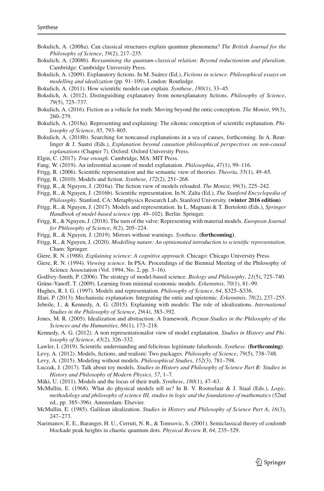- <span id="page-24-1"></span>Bokulich, A. (2008a). Can classical structures explain quantum phenomena? *The British Journal for the Philosophy of Science*, *59*(2), 217–235.
- <span id="page-24-2"></span>Bokulich, A. (2008b). *Reexamining the quantum-classical relation: Beyond reductionism and pluralism*. Cambridge: Cambridge University Press.
- <span id="page-24-3"></span>Bokulich, A. (2009). Explanatory fictions. In M. Suárez (Ed.), *Fictions in science. Philosophical essays on modelling and idealization* (pp. 91–109). London: Routledge.
- <span id="page-24-4"></span>Bokulich, A. (2011). How scientific models can explain. *Synthese*, *180*(1), 33–45.
- <span id="page-24-5"></span>Bokulich, A. (2012). Distinguishing explanatory from nonexplanatory fictions. *Philosophy of Science*, *79*(5), 725–737.
- <span id="page-24-0"></span>Bokulich, A. (2016). Fiction as a vehicle for truth: Moving beyond the ontic conception. *The Monist*, *99*(3), 260–279.
- <span id="page-24-6"></span>Bokulich, A. (2018a). Representing and explaining: The eikonic conception of scientific explanation. *Philosophy of Science*, *85*, 793–805.
- <span id="page-24-7"></span>Bokulich, A. (2018b). Searching for noncausal explanations in a sea of causes, forthcoming. In A. Reutlinger & J. Saatsi (Eds.), *Explanation beyond causation philosophical perspectives on non-causal explanations* (Chapter 7). Oxford: Oxford University Press.
- <span id="page-24-31"></span>Elgin, C. (2017). *True enough*. Cambridge, MA: MIT Press.
- <span id="page-24-23"></span>Fang, W. (2019). An inferential account of model explanation. *Philosophia*, *47*(1), 99–116.
- <span id="page-24-32"></span>Frigg, R. (2006). Scientific representation and the semantic view of theories. *Theoria*, *55*(1), 49–65.
- <span id="page-24-9"></span>Frigg, R. (2010). Models and fiction. *Synthese*, *172*(2), 251–268.
- <span id="page-24-10"></span>Frigg, R., & Nguyen, J. (2016a). The fiction view of models reloaded. *The Monist*, *99*(3), 225–242.
- <span id="page-24-27"></span>Frigg, R., & Nguyen, J. (2016b). Scientific representation. In N. Zalta (Ed.), *The Stanford Encyclopedia of Philosophy*. Stanford, CA: Metaphysics Research Lab, Stanford University. **(winter 2016 edition)**.
- <span id="page-24-28"></span>Frigg, R., & Nguyen, J. (2017). Models and representation. In L. Magnani & T. Bertolotti (Eds.), *Springer Handbook of model-based science* (pp. 49–102). Berlin: Springer.
- <span id="page-24-14"></span>Frigg, R., & Nguyen, J. (2018). The turn of the valve: Representing with material models. *European Journal for Philosophy of Science*, *8*(2), 205–224.
- <span id="page-24-33"></span>Frigg, R., & Nguyen, J. (2019). Mirrors without warnings. *Synthese*. **(forthcoming)**.
- <span id="page-24-29"></span>Frigg, R., & Nguyen, J. (2020). *Modelling nature: An opinionated introduction to scientific representation*. Cham: Springer.
- <span id="page-24-13"></span>Giere, R. N. (1988). *Explaining science: A cognitive approach*. Chicago: Chicago University Press.
- <span id="page-24-15"></span>Giere, R. N. (1994). *Viewing science*. In PSA: Proceedings of the Biennial Meeting of the Philosophy of Science Association (Vol. 1994, No. 2, pp. 3–16).
- <span id="page-24-8"></span>Godfrey-Smith, P. (2006). The strategy of model-based science. *Biology and Philosophy*, *21*(5), 725–740.
- <span id="page-24-21"></span>Grüne-Yanoff, T. (2009). Learning from minimal economic models. *Erkenntnis*, *70*(1), 81–99.
- <span id="page-24-30"></span>Hughes, R. I. G. (1997). Models and representation. *Philosophy of Science*, *64*, S325–S336.
- <span id="page-24-26"></span>Illari, P. (2013). Mechanistic explanation: Integrating the ontic and epistemic. *Erkenntnis*, *78*(2), 237–255.
- <span id="page-24-20"></span>Jebeile, J., & Kennedy, A. G. (2015). Explaining with models: The role of idealizations. *International Studies in the Philosophy of Science*, *29*(4), 383–392.
- <span id="page-24-18"></span>Jones, M. R. (2005). Idealization and abstraction: A framework. *Poznan Studies in the Philosophy of the Sciences and the Humanities*, *86*(1), 173–218.
- <span id="page-24-19"></span>Kennedy, A. G. (2012). A non representationalist view of model explanation. *Studies in History and Philosophy of Science*, *43*(2), 326–332.
- <span id="page-24-34"></span>Lawler, I. (2019). Scientific understanding and felicitous legitimate falsehoods. *Synthese*. **(forthcoming)**.
- <span id="page-24-11"></span>Levy, A. (2012). Models, fictions, and realism: Two packages. *Philosophy of Science*, *79*(5), 738–748.
- <span id="page-24-12"></span>Levy, A. (2015). Modeling without models. *Philosophical Studies*, *152*(3), 781–798.
- <span id="page-24-22"></span>Luczak, J. (2017). Talk about toy models. *Studies in History and Philosophy of Science Part B: Studies in History and Philosophy of Modern Physics*, *57*, 1–7.
- <span id="page-24-16"></span>Mäki, U. (2011). Models and the locus of their truth. *Synthese*, *180*(1), 47–63.
- <span id="page-24-25"></span>McMullin, E. (1968). What do physical models tell us? In B. V. Rootselaar & J. Staal (Eds.), *Logic, methodology and philosophy of science III, studies in logic and the foundations of mathematics* (52nd ed., pp. 385–396). Amsterdam: Elsevier.
- <span id="page-24-17"></span>McMullin, E. (1985). Galilean idealization. *Studies in History and Philosophy of Science Part A*, *16*(3), 247–273.
- <span id="page-24-24"></span>Narimanov, E. E., Baranger, H. U., Cerruti, N. R., & Tomsovic, S. (2001). Semiclassical theory of coulomb blockade peak heights in chaotic quantum dots. *Physical Review B*, *64*, 235–329.